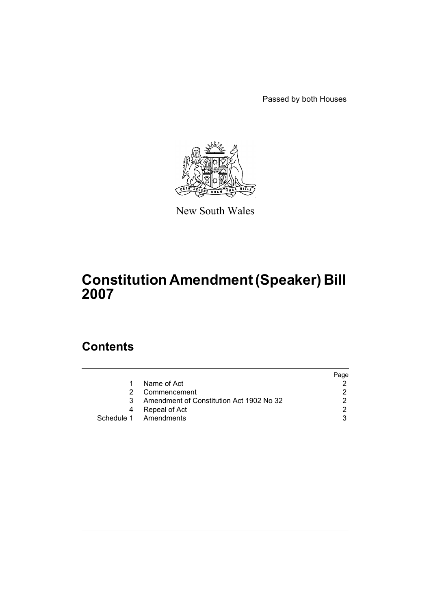Passed by both Houses



New South Wales

# **Constitution Amendment (Speaker) Bill 2007**

### **Contents**

|    |                                          | Page |
|----|------------------------------------------|------|
| 1  | Name of Act                              |      |
|    | Commencement                             |      |
| 3. | Amendment of Constitution Act 1902 No 32 |      |
| 4  | Repeal of Act                            |      |
|    | Schedule 1 Amendments                    |      |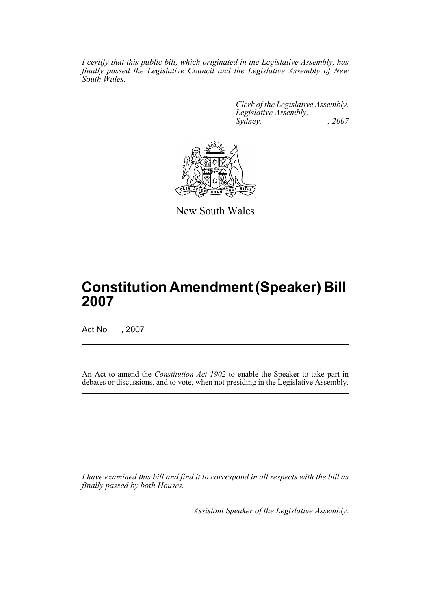*I certify that this public bill, which originated in the Legislative Assembly, has finally passed the Legislative Council and the Legislative Assembly of New South Wales.*

> *Clerk of the Legislative Assembly. Legislative Assembly, Sydney, , 2007*



New South Wales

## **Constitution Amendment (Speaker) Bill 2007**

Act No , 2007

An Act to amend the *Constitution Act 1902* to enable the Speaker to take part in debates or discussions, and to vote, when not presiding in the Legislative Assembly.

*I have examined this bill and find it to correspond in all respects with the bill as finally passed by both Houses.*

*Assistant Speaker of the Legislative Assembly.*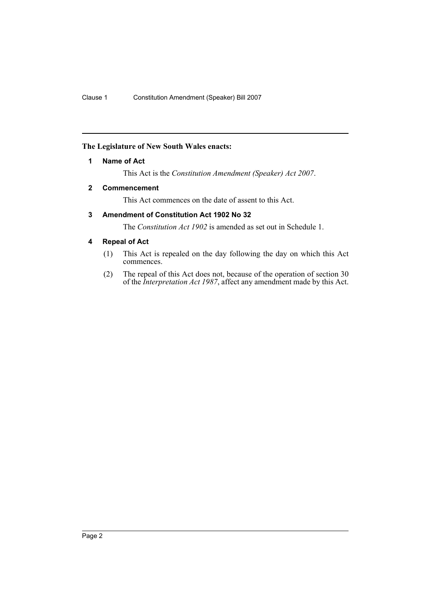#### <span id="page-2-0"></span>**The Legislature of New South Wales enacts:**

#### **1 Name of Act**

This Act is the *Constitution Amendment (Speaker) Act 2007*.

#### <span id="page-2-1"></span>**2 Commencement**

This Act commences on the date of assent to this Act.

#### <span id="page-2-2"></span>**3 Amendment of Constitution Act 1902 No 32**

The *Constitution Act 1902* is amended as set out in Schedule 1.

#### <span id="page-2-3"></span>**4 Repeal of Act**

- (1) This Act is repealed on the day following the day on which this Act commences.
- (2) The repeal of this Act does not, because of the operation of section 30 of the *Interpretation Act 1987*, affect any amendment made by this Act.